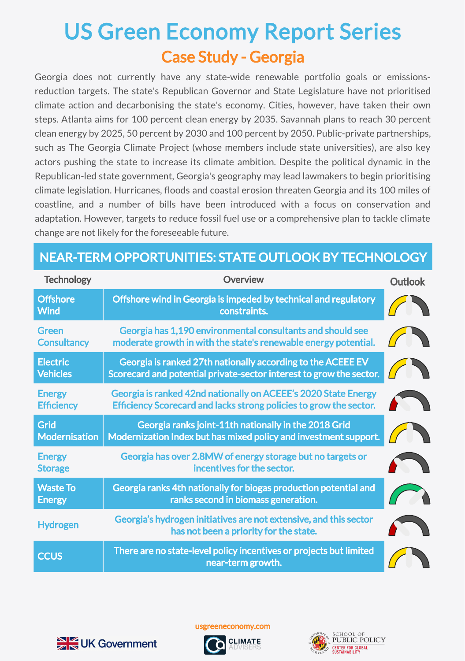## Case Study - Georgia US Green Economy Report Series

Georgia does not currently have any state-wide renewable portfolio goals or emissionsreduction targets. The state's Republican Governor and State Legislature have not prioritised climate action and decarbonising the state's economy. Cities, however, have taken their own steps. Atlanta aims for 100 percent clean energy by 2035. Savannah plans to reach 30 percent clean energy by 2025, 50 percent by 2030 and 100 percent by 2050. Public-private partnerships, such as The Georgia Climate Project (whose members include state universities), are also key actors pushing the state to increase its climate ambition. Despite the political dynamic in the Republican-led state government, Georgia's geography may lead lawmakers to begin prioritising climate legislation. Hurricanes, floods and coastal erosion threaten Georgia and its 100 miles of coastline, and a number of bills have been introduced with a focus on conservation and adaptation. However, targets to reduce fossil fuel use or a comprehensive plan to tackle climate change are not likely for the foreseeable future.

## NEAR-TERM OPPORTUNITIES: STATE OUTLOOK BY TECHNOLOGY

| <b>Technology</b>                   | Overview                                                                                                                             | <b>Outlook</b> |
|-------------------------------------|--------------------------------------------------------------------------------------------------------------------------------------|----------------|
| <b>Offshore</b><br><b>Wind</b>      | Offshore wind in Georgia is impeded by technical and regulatory<br>constraints.                                                      |                |
| <b>Green</b><br><b>Consultancy</b>  | Georgia has 1,190 environmental consultants and should see<br>moderate growth in with the state's renewable energy potential.        |                |
| <b>Electric</b><br><b>Vehicles</b>  | Georgia is ranked 27th nationally according to the ACEEE EV<br>Scorecard and potential private-sector interest to grow the sector.   |                |
| <b>Energy</b><br><b>Efficiency</b>  | Georgia is ranked 42nd nationally on ACEEE's 2020 State Energy<br>Efficiency Scorecard and lacks strong policies to grow the sector. |                |
| <b>Grid</b><br><b>Modernisation</b> | Georgia ranks joint-11th nationally in the 2018 Grid<br>Modernization Index but has mixed policy and investment support.             |                |
| <b>Energy</b><br><b>Storage</b>     | Georgia has over 2.8MW of energy storage but no targets or<br>incentives for the sector.                                             |                |
| <b>Waste To</b><br><b>Energy</b>    | Georgia ranks 4th nationally for biogas production potential and<br>ranks second in biomass generation.                              |                |
| <b>Hydrogen</b>                     | Georgia's hydrogen initiatives are not extensive, and this sector<br>has not been a priority for the state.                          |                |
| <b>CCUS</b>                         | There are no state-level policy incentives or projects but limited<br>near-term growth.                                              |                |



usgreeneconomy.com